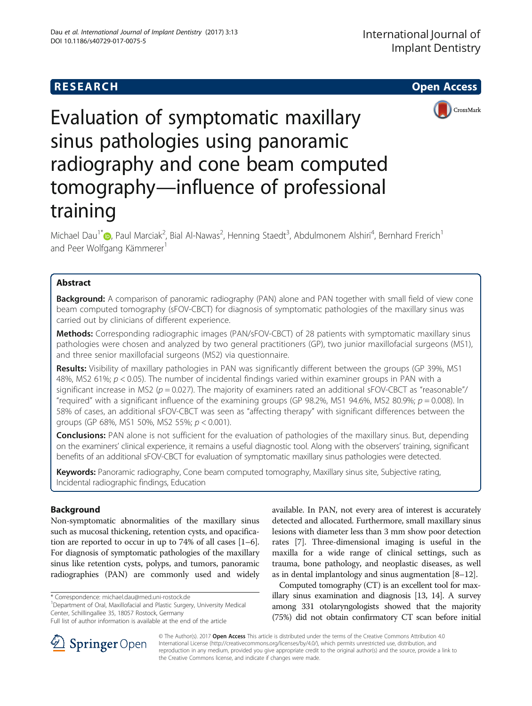

Evaluation of symptomatic maxillary sinus pathologies using panoramic radiography and cone beam computed tomography—influence of professional training

Michael Dau<sup>1\*</sup>�[,](http://orcid.org/0000-0002-2619-3256) Paul Marciak<sup>2</sup>, Bial Al-Nawas<sup>2</sup>, Henning Staedt<sup>3</sup>, Abdulmonem Alshiri<sup>4</sup>, Bernhard Frerich<sup>1</sup> and Peer Wolfgang Kämmerer<sup>1</sup>

# Abstract

**Background:** A comparison of panoramic radiography (PAN) alone and PAN together with small field of view cone beam computed tomography (sFOV-CBCT) for diagnosis of symptomatic pathologies of the maxillary sinus was carried out by clinicians of different experience.

**Methods:** Corresponding radiographic images (PAN/sFOV-CBCT) of 28 patients with symptomatic maxillary sinus pathologies were chosen and analyzed by two general practitioners (GP), two junior maxillofacial surgeons (MS1), and three senior maxillofacial surgeons (MS2) via questionnaire.

Results: Visibility of maxillary pathologies in PAN was significantly different between the groups (GP 39%, MS1 48%, MS2 61%;  $p < 0.05$ ). The number of incidental findings varied within examiner groups in PAN with a significant increase in MS2 ( $p = 0.027$ ). The majority of examiners rated an additional sFOV-CBCT as "reasonable"/ "required" with a significant influence of the examining groups (GP 98.2%, MS1 94.6%, MS2 80.9%;  $p = 0.008$ ). In 58% of cases, an additional sFOV-CBCT was seen as "affecting therapy" with significant differences between the groups (GP 68%, MS1 50%, MS2 55%; p < 0.001).

**Conclusions:** PAN alone is not sufficient for the evaluation of pathologies of the maxillary sinus. But, depending on the examiners' clinical experience, it remains a useful diagnostic tool. Along with the observers' training, significant benefits of an additional sFOV-CBCT for evaluation of symptomatic maxillary sinus pathologies were detected.

Keywords: Panoramic radiography, Cone beam computed tomography, Maxillary sinus site, Subjective rating, Incidental radiographic findings, Education

# Background

Non-symptomatic abnormalities of the maxillary sinus such as mucosal thickening, retention cysts, and opacification are reported to occur in up to 74% of all cases [[1](#page-4-0)–[6](#page-4-0)]. For diagnosis of symptomatic pathologies of the maxillary sinus like retention cysts, polyps, and tumors, panoramic radiographies (PAN) are commonly used and widely

\* Correspondence: [michael.dau@med.uni-rostock.de](mailto:michael.dau@med.uni-rostock.de) <sup>1</sup>

Department of Oral, Maxillofacial and Plastic Surgery, University Medical Center, Schillingallee 35, 18057 Rostock, Germany

available. In PAN, not every area of interest is accurately detected and allocated. Furthermore, small maxillary sinus lesions with diameter less than 3 mm show poor detection rates [\[7\]](#page-4-0). Three-dimensional imaging is useful in the maxilla for a wide range of clinical settings, such as trauma, bone pathology, and neoplastic diseases, as well as in dental implantology and sinus augmentation [\[8](#page-4-0)–[12\]](#page-5-0).

Computed tomography (CT) is an excellent tool for maxillary sinus examination and diagnosis [\[13, 14\]](#page-5-0). A survey among 331 otolaryngologists showed that the majority (75%) did not obtain confirmatory CT scan before initial



© The Author(s). 2017 Open Access This article is distributed under the terms of the Creative Commons Attribution 4.0 International License ([http://creativecommons.org/licenses/by/4.0/\)](http://creativecommons.org/licenses/by/4.0/), which permits unrestricted use, distribution, and reproduction in any medium, provided you give appropriate credit to the original author(s) and the source, provide a link to the Creative Commons license, and indicate if changes were made.

Full list of author information is available at the end of the article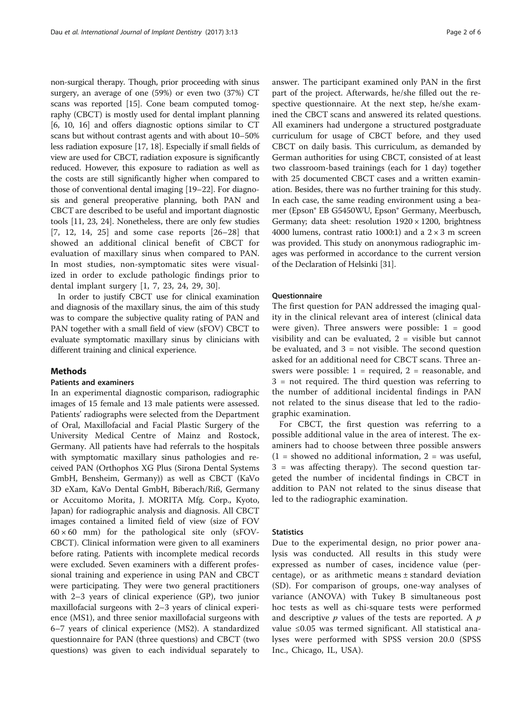non-surgical therapy. Though, prior proceeding with sinus surgery, an average of one (59%) or even two (37%) CT scans was reported [\[15\]](#page-5-0). Cone beam computed tomography (CBCT) is mostly used for dental implant planning [[6, 10](#page-4-0), [16\]](#page-5-0) and offers diagnostic options similar to CT scans but without contrast agents and with about 10–50% less radiation exposure [[17](#page-5-0), [18\]](#page-5-0). Especially if small fields of view are used for CBCT, radiation exposure is significantly reduced. However, this exposure to radiation as well as the costs are still significantly higher when compared to those of conventional dental imaging [[19](#page-5-0)–[22\]](#page-5-0). For diagnosis and general preoperative planning, both PAN and CBCT are described to be useful and important diagnostic tools [\[11](#page-4-0), [23](#page-5-0), [24](#page-5-0)]. Nonetheless, there are only few studies [[7,](#page-4-0) [12, 14, 25](#page-5-0)] and some case reports [\[26](#page-5-0)–[28](#page-5-0)] that showed an additional clinical benefit of CBCT for evaluation of maxillary sinus when compared to PAN. In most studies, non-symptomatic sites were visualized in order to exclude pathologic findings prior to dental implant surgery [\[1](#page-4-0), [7](#page-4-0), [23, 24, 29, 30](#page-5-0)].

In order to justify CBCT use for clinical examination and diagnosis of the maxillary sinus, the aim of this study was to compare the subjective quality rating of PAN and PAN together with a small field of view (sFOV) CBCT to evaluate symptomatic maxillary sinus by clinicians with different training and clinical experience.

## Methods

## Patients and examiners

In an experimental diagnostic comparison, radiographic images of 15 female and 13 male patients were assessed. Patients' radiographs were selected from the Department of Oral, Maxillofacial and Facial Plastic Surgery of the University Medical Centre of Mainz and Rostock, Germany. All patients have had referrals to the hospitals with symptomatic maxillary sinus pathologies and received PAN (Orthophos XG Plus (Sirona Dental Systems GmbH, Bensheim, Germany)) as well as CBCT (KaVo 3D eXam, KaVo Dental GmbH, Biberach/Riß, Germany or Accuitomo Morita, J. MORITA Mfg. Corp., Kyoto, Japan) for radiographic analysis and diagnosis. All CBCT images contained a limited field of view (size of FOV  $60 \times 60$  mm) for the pathological site only (sFOV-CBCT). Clinical information were given to all examiners before rating. Patients with incomplete medical records were excluded. Seven examiners with a different professional training and experience in using PAN and CBCT were participating. They were two general practitioners with 2–3 years of clinical experience (GP), two junior maxillofacial surgeons with 2–3 years of clinical experience (MS1), and three senior maxillofacial surgeons with 6–7 years of clinical experience (MS2). A standardized questionnaire for PAN (three questions) and CBCT (two questions) was given to each individual separately to answer. The participant examined only PAN in the first part of the project. Afterwards, he/she filled out the respective questionnaire. At the next step, he/she examined the CBCT scans and answered its related questions. All examiners had undergone a structured postgraduate curriculum for usage of CBCT before, and they used CBCT on daily basis. This curriculum, as demanded by German authorities for using CBCT, consisted of at least two classroom-based trainings (each for 1 day) together with 25 documented CBCT cases and a written examination. Besides, there was no further training for this study. In each case, the same reading environment using a beamer (Epson® EB G5450WU, Epson® Germany, Meerbusch, Germany; data sheet: resolution  $1920 \times 1200$ , brightness 4000 lumens, contrast ratio 1000:1) and a  $2 \times 3$  m screen was provided. This study on anonymous radiographic images was performed in accordance to the current version of the Declaration of Helsinki [[31](#page-5-0)].

## Questionnaire

The first question for PAN addressed the imaging quality in the clinical relevant area of interest (clinical data were given). Three answers were possible:  $1 = good$ visibility and can be evaluated,  $2$  = visible but cannot be evaluated, and  $3 = not visible$ . The second question asked for an additional need for CBCT scans. Three answers were possible:  $1 =$  required,  $2 =$  reasonable, and 3 = not required. The third question was referring to the number of additional incidental findings in PAN not related to the sinus disease that led to the radiographic examination.

For CBCT, the first question was referring to a possible additional value in the area of interest. The examiners had to choose between three possible answers  $(1 =$  showed no additional information,  $2 =$  was useful, 3 = was affecting therapy). The second question targeted the number of incidental findings in CBCT in addition to PAN not related to the sinus disease that led to the radiographic examination.

### **Statistics**

Due to the experimental design, no prior power analysis was conducted. All results in this study were expressed as number of cases, incidence value (percentage), or as arithmetic means  $\pm$  standard deviation (SD). For comparison of groups, one-way analyses of variance (ANOVA) with Tukey B simultaneous post hoc tests as well as chi-square tests were performed and descriptive  $p$  values of the tests are reported. A  $p$ value ≤0.05 was termed significant. All statistical analyses were performed with SPSS version 20.0 (SPSS Inc., Chicago, IL, USA).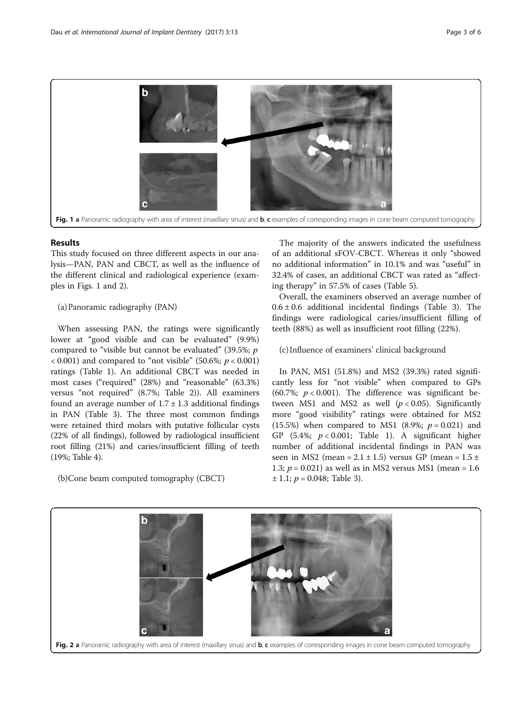

## Results

This study focused on three different aspects in our analysis—PAN, PAN and CBCT, as well as the influence of the different clinical and radiological experience (examples in Figs. 1 and 2).

## (a)Panoramic radiography (PAN)

When assessing PAN, the ratings were significantly lower at "good visible and can be evaluated" (9.9%) compared to "visible but cannot be evaluated" (39.5%;  $p$ )  $(0.001)$  and compared to "not visible" (50.6%;  $p < 0.001$ ) ratings (Table [1](#page-3-0)). An additional CBCT was needed in most cases ("required" (28%) and "reasonable" (63.3%) versus "not required" (8.7%; Table [2\)](#page-3-0)). All examiners found an average number of  $1.7 \pm 1.3$  additional findings in PAN (Table [3](#page-3-0)). The three most common findings were retained third molars with putative follicular cysts (22% of all findings), followed by radiological insufficient root filling (21%) and caries/insufficient filling of teeth (19%; Table [4](#page-3-0)).

(b)Cone beam computed tomography (CBCT)

The majority of the answers indicated the usefulness of an additional sFOV-CBCT. Whereas it only "showed no additional information" in 10.1% and was "useful" in 32.4% of cases, an additional CBCT was rated as "affecting therapy" in 57.5% of cases (Table [5\)](#page-4-0).

Overall, the examiners observed an average number of  $0.6 \pm 0.6$  additional incidental findings (Table [3](#page-3-0)). The findings were radiological caries/insufficient filling of teeth (88%) as well as insufficient root filling (22%).

(c) Influence of examiners' clinical background

In PAN, MS1 (51.8%) and MS2 (39.3%) rated significantly less for "not visible" when compared to GPs (60.7%;  $p < 0.001$ ). The difference was significant between MS1 and MS2 as well  $(p < 0.05)$ . Significantly more "good visibility" ratings were obtained for MS2 (15.5%) when compared to MS1 (8.9%;  $p = 0.021$ ) and GP (5.4%;  $p < 0.001$ ; Table [1](#page-3-0)). A significant higher number of additional incidental findings in PAN was seen in MS2 (mean =  $2.1 \pm 1.5$ ) versus GP (mean =  $1.5 \pm 1.5$ ) 1.3;  $p = 0.021$ ) as well as in MS2 versus MS1 (mean = 1.6)  $± 1.1; p = 0.048;$  Table [3\)](#page-3-0).

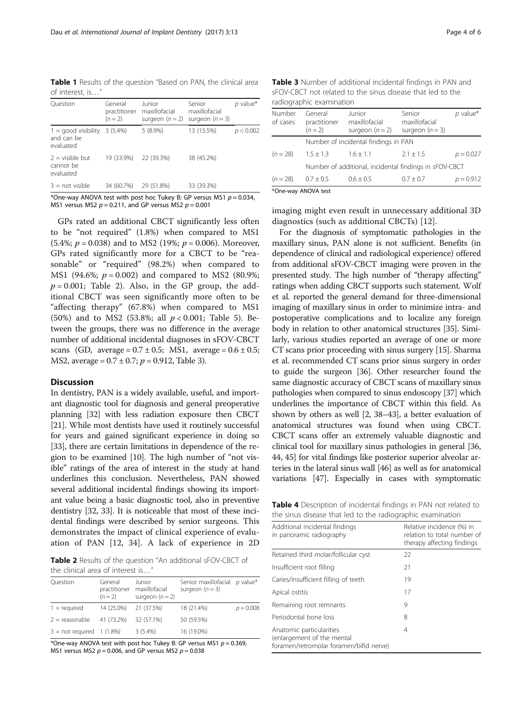<span id="page-3-0"></span>Table 1 Results of the question "Based on PAN, the clinical area of interest, is…"

| Ouestion                                         | General<br>practitioner<br>$(n = 2)$ | Junior<br>maxillofacial<br>surgeon $(n=2)$ | Senior<br>maxillofacial<br>surgeon $(n = 3)$ | $p$ value* |
|--------------------------------------------------|--------------------------------------|--------------------------------------------|----------------------------------------------|------------|
| $1 =$ good visibility<br>and can be<br>evaluated | 3(5.4%)                              | $5(8.9\%)$                                 | 13 (15.5%)                                   | p < 0.002  |
| $2 =$ visible but<br>cannot be<br>evaluated      | 19 (33.9%)                           | 22 (39.3%)                                 | 38 (45.2%)                                   |            |
| $3 = not visible$                                | 34 (60.7%)                           | 29 (51.8%)                                 | 33 (39.3%)                                   |            |

\*One-way ANOVA test with post hoc Tukey B: GP versus MS1  $p = 0.034$ , MS1 versus MS2  $p = 0.211$ , and GP versus MS2  $p = 0.001$ 

GPs rated an additional CBCT significantly less often to be "not required" (1.8%) when compared to MS1 (5.4%;  $p = 0.038$ ) and to MS2 (19%;  $p = 0.006$ ). Moreover, GPs rated significantly more for a CBCT to be "reasonable" or "required" (98.2%) when compared to MS1 (94.6%;  $p = 0.002$ ) and compared to MS2 (80.9%;  $p = 0.001$ ; Table 2). Also, in the GP group, the additional CBCT was seen significantly more often to be "affecting therapy" (67.8%) when compared to MS1 (50%) and to MS2 (53.8%; all  $p < 0.001$ ; Table [5\)](#page-4-0). Between the groups, there was no difference in the average number of additional incidental diagnoses in sFOV-CBCT scans (GD, average =  $0.7 \pm 0.5$ ; MS1, average =  $0.6 \pm 0.5$ ; MS2, average =  $0.7 \pm 0.7$ ;  $p = 0.912$ , Table 3).

## Discussion

In dentistry, PAN is a widely available, useful, and important diagnostic tool for diagnosis and general preoperative planning [[32](#page-5-0)] with less radiation exposure then CBCT [[21](#page-5-0)]. While most dentists have used it routinely successful for years and gained significant experience in doing so [[33](#page-5-0)], there are certain limitations in dependence of the region to be examined [[10](#page-4-0)]. The high number of "not visible" ratings of the area of interest in the study at hand underlines this conclusion. Nevertheless, PAN showed several additional incidental findings showing its important value being a basic diagnostic tool, also in preventive dentistry [\[32, 33\]](#page-5-0). It is noticeable that most of these incidental findings were described by senior surgeons. This demonstrates the impact of clinical experience of evaluation of PAN [[12](#page-5-0), [34](#page-5-0)]. A lack of experience in 2D

Table 2 Results of the question "An additional sFOV-CBCT of the clinical area of interest is…"

| Question                    | General<br>practitioner<br>$(n = 2)$ | Junior<br>maxillofacial<br>surgeon $(n = 2)$ | Senior maxillofacial p value*<br>surgeon $(n=3)$ |             |
|-----------------------------|--------------------------------------|----------------------------------------------|--------------------------------------------------|-------------|
| $1 = required$              | 14 (25.0%)                           | 21 (37.5%)                                   | 18 (21.4%)                                       | $p = 0.008$ |
| $2 =$ reasonable            | 41 (73.2%)                           | 32 (57.1%)                                   | 50 (59.5%)                                       |             |
| $3 = not required$ 1 (1.8%) |                                      | $3(5.4\%)$                                   | 16 (19.0%)                                       |             |

\*One-way ANOVA test with post hoc Tukey B: GP versus MS1  $p = 0.369$ , MS1 versus MS2  $p = 0.006$ , and GP versus MS2  $p = 0.038$ 

Table 3 Number of additional incidental findings in PAN and sFOV-CBCT not related to the sinus disease that led to the radiographic examination

| Number<br>of cases                                     | General<br>practitioner<br>$(n = 2)$ | Junior<br>maxillofacial<br>surgeon $(n = 2)$ | Senior<br>maxillofacial<br>surgeon $(n=3)$ | $p$ value*  |
|--------------------------------------------------------|--------------------------------------|----------------------------------------------|--------------------------------------------|-------------|
|                                                        | Number of incidental findings in PAN |                                              |                                            |             |
| $(n = 28)$                                             | $1.5 \pm 1.3$                        | $1.6 \pm 1.1$                                | $2.1 + 1.5$                                | $p = 0.027$ |
| Number of additional, incidental findings in sFOV-CBCT |                                      |                                              |                                            |             |
| $(n = 28)$                                             | $0.7 \pm 0.5$                        | $0.6 \pm 0.5$                                | $0.7 \pm 0.7$                              | $p = 0.912$ |
|                                                        |                                      |                                              |                                            |             |

\*One-way ANOVA test

imaging might even result in unnecessary additional 3D diagnostics (such as additional CBCTs) [[12](#page-5-0)].

For the diagnosis of symptomatic pathologies in the maxillary sinus, PAN alone is not sufficient. Benefits (in dependence of clinical and radiological experience) offered from additional sFOV-CBCT imaging were proven in the presented study. The high number of "therapy affecting" ratings when adding CBCT supports such statement. Wolf et al. reported the general demand for three-dimensional imaging of maxillary sinus in order to minimize intra- and postoperative complications and to localize any foreign body in relation to other anatomical structures [\[35\]](#page-5-0). Similarly, various studies reported an average of one or more CT scans prior proceeding with sinus surgery [[15](#page-5-0)]. Sharma et al. recommended CT scans prior sinus surgery in order to guide the surgeon [\[36](#page-5-0)]. Other researcher found the same diagnostic accuracy of CBCT scans of maxillary sinus pathologies when compared to sinus endoscopy [\[37](#page-5-0)] which underlines the importance of CBCT within this field. As shown by others as well [[2](#page-4-0), [38](#page-5-0)–[43\]](#page-5-0), a better evaluation of anatomical structures was found when using CBCT. CBCT scans offer an extremely valuable diagnostic and clinical tool for maxillary sinus pathologies in general [[36](#page-5-0), [44](#page-5-0), [45\]](#page-5-0) for vital findings like posterior superior alveolar arteries in the lateral sinus wall [[46](#page-5-0)] as well as for anatomical variations [\[47\]](#page-5-0). Especially in cases with symptomatic

Table 4 Description of incidental findings in PAN not related to the sinus disease that led to the radiographic examination

| Additional incidental findings<br>in panoramic radiography                                        | Relative incidence (%) in<br>relation to total number of<br>therapy affecting findings |  |  |
|---------------------------------------------------------------------------------------------------|----------------------------------------------------------------------------------------|--|--|
| Retained third molar/follicular cyst                                                              | 22                                                                                     |  |  |
| Insufficient root filling                                                                         | 21                                                                                     |  |  |
| Caries/insufficient filling of teeth                                                              | 19                                                                                     |  |  |
| Apical ostitis                                                                                    | 17                                                                                     |  |  |
| Remaining root remnants                                                                           | 9                                                                                      |  |  |
| Periodontal bone loss                                                                             | 8                                                                                      |  |  |
| Anatomic particularities<br>(enlargement of the mental<br>foramen/retromolar foramen/bifid nerve) | 4                                                                                      |  |  |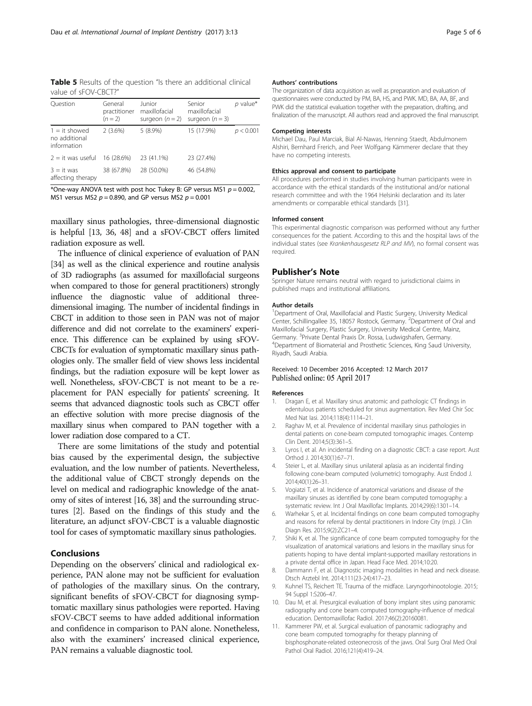<span id="page-4-0"></span>Table 5 Results of the question "Is there an additional clinical value of sFOV-CBCT?"

| Ouestion                                        | General<br>practitioner<br>$(n = 2)$ | Junior<br>maxillofacial<br>surgeon $(n = 2)$ | Senior<br>maxillofacial<br>surgeon $(n=3)$ | $p$ value* |
|-------------------------------------------------|--------------------------------------|----------------------------------------------|--------------------------------------------|------------|
| $1 = it$ showed<br>no additional<br>information | $2(3.6\%)$                           | $5(8.9\%)$                                   | 15 (17.9%)                                 | p < 0.001  |
| $2 = it was useful$                             | 16 (28.6%)                           | 23 (41.1%)                                   | 23 (27.4%)                                 |            |
| $3 = it was$<br>affecting therapy               | 38 (67.8%)                           | 28 (50.0%)                                   | 46 (54.8%)                                 |            |

\*One-way ANOVA test with post hoc Tukey B: GP versus MS1  $p = 0.002$ , MS1 versus MS2  $p = 0.890$ , and GP versus MS2  $p = 0.001$ 

maxillary sinus pathologies, three-dimensional diagnostic is helpful [\[13, 36](#page-5-0), [48](#page-5-0)] and a sFOV-CBCT offers limited radiation exposure as well.

The influence of clinical experience of evaluation of PAN [[34](#page-5-0)] as well as the clinical experience and routine analysis of 3D radiographs (as assumed for maxillofacial surgeons when compared to those for general practitioners) strongly influence the diagnostic value of additional threedimensional imaging. The number of incidental findings in CBCT in addition to those seen in PAN was not of major difference and did not correlate to the examiners' experience. This difference can be explained by using sFOV-CBCTs for evaluation of symptomatic maxillary sinus pathologies only. The smaller field of view shows less incidental findings, but the radiation exposure will be kept lower as well. Nonetheless, sFOV-CBCT is not meant to be a replacement for PAN especially for patients' screening. It seems that advanced diagnostic tools such as CBCT offer an effective solution with more precise diagnosis of the maxillary sinus when compared to PAN together with a lower radiation dose compared to a CT.

There are some limitations of the study and potential bias caused by the experimental design, the subjective evaluation, and the low number of patients. Nevertheless, the additional value of CBCT strongly depends on the level on medical and radiographic knowledge of the anatomy of sites of interest [\[16, 38\]](#page-5-0) and the surrounding structures [2]. Based on the findings of this study and the literature, an adjunct sFOV-CBCT is a valuable diagnostic tool for cases of symptomatic maxillary sinus pathologies.

## Conclusions

Depending on the observers' clinical and radiological experience, PAN alone may not be sufficient for evaluation of pathologies of the maxillary sinus. On the contrary, significant benefits of sFOV-CBCT for diagnosing symptomatic maxillary sinus pathologies were reported. Having sFOV-CBCT seems to have added additional information and confidence in comparison to PAN alone. Nonetheless, also with the examiners' increased clinical experience, PAN remains a valuable diagnostic tool.

## Authors' contributions

The organization of data acquisition as well as preparation and evaluation of questionnaires were conducted by PM, BA, HS, and PWK. MD, BA, AA, BF, and PWK did the statistical evaluation together with the preparation, drafting, and finalization of the manuscript. All authors read and approved the final manuscript.

### Competing interests

Michael Dau, Paul Marciak, Bial Al-Nawas, Henning Staedt, Abdulmonem Alshiri, Bernhard Frerich, and Peer Wolfgang Kämmerer declare that they have no competing interests.

#### Ethics approval and consent to participate

All procedures performed in studies involving human participants were in accordance with the ethical standards of the institutional and/or national research committee and with the 1964 Helsinki declaration and its later amendments or comparable ethical standards [[31](#page-5-0)].

#### Informed consent

This experimental diagnostic comparison was performed without any further consequences for the patient. According to this and the hospital laws of the individual states (see Krankenhausgesetz RLP and MV), no formal consent was required.

### Publisher's Note

Springer Nature remains neutral with regard to jurisdictional claims in published maps and institutional affiliations.

### Author details

<sup>1</sup>Department of Oral, Maxillofacial and Plastic Surgery, University Medical Center, Schillingallee 35, 18057 Rostock, Germany. <sup>2</sup>Department of Oral and Maxillofacial Surgery, Plastic Surgery, University Medical Centre, Mainz, Germany. <sup>3</sup> Private Dental Praxis Dr. Rossa, Ludwigshafen, Germany.<br><sup>4</sup> Department of Biomaterial and Prosthetic Sciences. King Saud Un <sup>4</sup>Department of Biomaterial and Prosthetic Sciences, King Saud University, Riyadh, Saudi Arabia.

## Received: 10 December 2016 Accepted: 12 March 2017 Published online: 05 April 2017

#### References

- 1. Dragan E, et al. Maxillary sinus anatomic and pathologic CT findings in edentulous patients scheduled for sinus augmentation. Rev Med Chir Soc Med Nat Iasi. 2014;118(4):1114–21.
- 2. Raghav M, et al. Prevalence of incidental maxillary sinus pathologies in dental patients on cone-beam computed tomographic images. Contemp Clin Dent. 2014;5(3):361–5.
- 3. Lyros I, et al. An incidental finding on a diagnostic CBCT: a case report. Aust Orthod J. 2014;30(1):67–71.
- 4. Steier L, et al. Maxillary sinus unilateral aplasia as an incidental finding following cone-beam computed (volumetric) tomography. Aust Endod J. 2014;40(1):26–31.
- 5. Vogiatzi T, et al. Incidence of anatomical variations and disease of the maxillary sinuses as identified by cone beam computed tomography: a systematic review. Int J Oral Maxillofac Implants. 2014;29(6):1301–14.
- 6. Warhekar S, et al. Incidental findings on cone beam computed tomography and reasons for referral by dental practitioners in Indore City (m.p). J Clin Diagn Res. 2015;9(2):ZC21–4.
- 7. Shiki K, et al. The significance of cone beam computed tomography for the visualization of anatomical variations and lesions in the maxillary sinus for patients hoping to have dental implant-supported maxillary restorations in a private dental office in Japan. Head Face Med. 2014;10:20.
- 8. Dammann F, et al. Diagnostic imaging modalities in head and neck disease. Dtsch Arztebl Int. 2014;111(23-24):417–23.
- 9. Kuhnel TS, Reichert TE. Trauma of the midface. Laryngorhinootologie. 2015; 94 Suppl 1:S206–47.
- 10. Dau M, et al. Presurgical evaluation of bony implant sites using panoramic radiography and cone beam computed tomography-influence of medical education. Dentomaxillofac Radiol. 2017;46(2):20160081.
- 11. Kammerer PW, et al. Surgical evaluation of panoramic radiography and cone beam computed tomography for therapy planning of bisphosphonate-related osteonecrosis of the jaws. Oral Surg Oral Med Oral Pathol Oral Radiol. 2016;121(4):419–24.